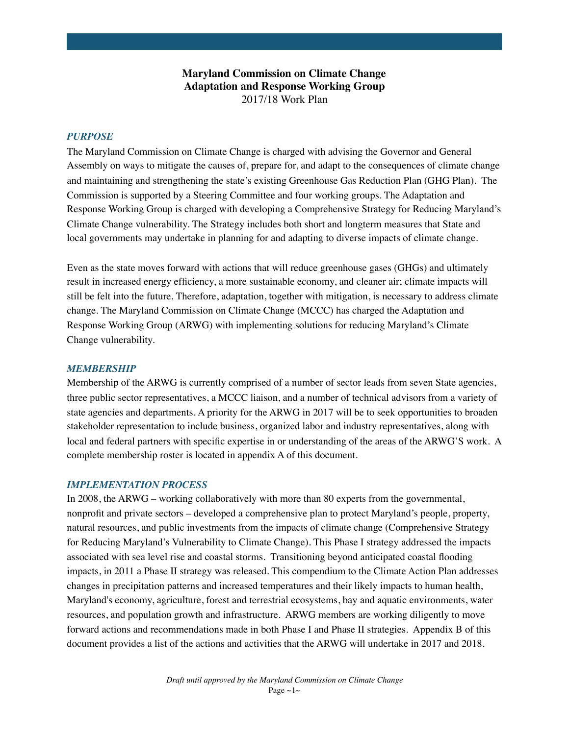## **Maryland Commission on Climate Change Adaptation and Response Working Group** 2017/18 Work Plan

### *PURPOSE*

The Maryland Commission on Climate Change is charged with advising the Governor and General Assembly on ways to mitigate the causes of, prepare for, and adapt to the consequences of climate change and maintaining and strengthening the state's existing Greenhouse Gas Reduction Plan (GHG Plan). The Commission is supported by a Steering Committee and four working groups. The Adaptation and Response Working Group is charged with developing a Comprehensive Strategy for Reducing Maryland's Climate Change vulnerability. The Strategy includes both short and longterm measures that State and local governments may undertake in planning for and adapting to diverse impacts of climate change.

Even as the state moves forward with actions that will reduce greenhouse gases (GHGs) and ultimately result in increased energy efficiency, a more sustainable economy, and cleaner air; climate impacts will still be felt into the future. Therefore, adaptation, together with mitigation, is necessary to address climate change. The Maryland Commission on Climate Change (MCCC) has charged the Adaptation and Response Working Group (ARWG) with implementing solutions for reducing Maryland's Climate Change vulnerability.

### *MEMBERSHIP*

Membership of the ARWG is currently comprised of a number of sector leads from seven State agencies, three public sector representatives, a MCCC liaison, and a number of technical advisors from a variety of state agencies and departments. A priority for the ARWG in 2017 will be to seek opportunities to broaden stakeholder representation to include business, organized labor and industry representatives, along with local and federal partners with specific expertise in or understanding of the areas of the ARWG'S work. A complete membership roster is located in appendix A of this document.

#### *IMPLEMENTATION PROCESS*

In 2008, the ARWG – working collaboratively with more than 80 experts from the governmental, nonprofit and private sectors – developed a comprehensive plan to protect Maryland's people, property, natural resources, and public investments from the impacts of climate change (Comprehensive Strategy for Reducing Maryland's Vulnerability to Climate Change). This Phase I strategy addressed the impacts associated with sea level rise and coastal storms. Transitioning beyond anticipated coastal flooding impacts, in 2011 a Phase II strategy was released. This compendium to the Climate Action Plan addresses changes in precipitation patterns and increased temperatures and their likely impacts to human health, Maryland's economy, agriculture, forest and terrestrial ecosystems, bay and aquatic environments, water resources, and population growth and infrastructure. ARWG members are working diligently to move forward actions and recommendations made in both Phase I and Phase II strategies. Appendix B of this document provides a list of the actions and activities that the ARWG will undertake in 2017 and 2018.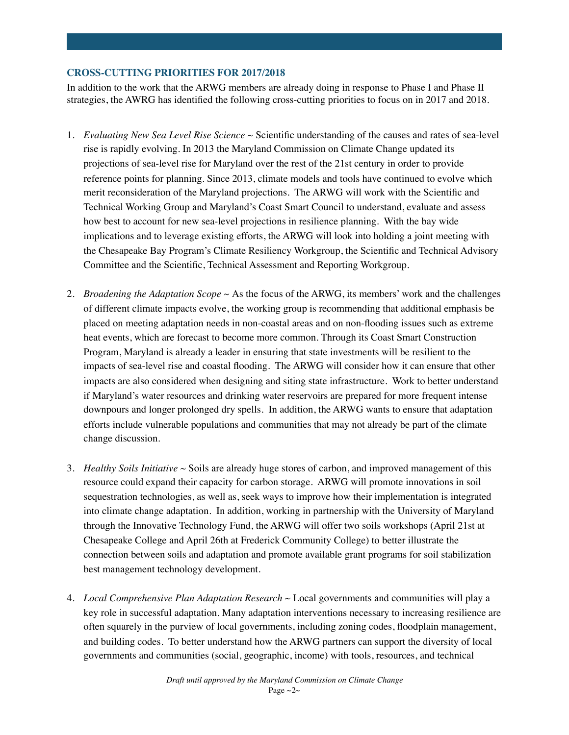## **CROSS-CUTTING PRIORITIES FOR 2017/2018**

In addition to the work that the ARWG members are already doing in response to Phase I and Phase II strategies, the AWRG has identified the following cross-cutting priorities to focus on in 2017 and 2018.

- 1. *Evaluating New Sea Level Rise Science ~* Scientific understanding of the causes and rates of sea-level rise is rapidly evolving. In 2013 the Maryland Commission on Climate Change updated its projections of sea-level rise for Maryland over the rest of the 21st century in order to provide reference points for planning. Since 2013, climate models and tools have continued to evolve which merit reconsideration of the Maryland projections. The ARWG will work with the Scientific and Technical Working Group and Maryland's Coast Smart Council to understand, evaluate and assess how best to account for new sea-level projections in resilience planning. With the bay wide implications and to leverage existing efforts, the ARWG will look into holding a joint meeting with the Chesapeake Bay Program's Climate Resiliency Workgroup, the Scientific and Technical Advisory Committee and the Scientific, Technical Assessment and Reporting Workgroup.
- 2. *Broadening the Adaptation Scope ~* As the focus of the ARWG, its members' work and the challenges of different climate impacts evolve, the working group is recommending that additional emphasis be placed on meeting adaptation needs in non-coastal areas and on non-flooding issues such as extreme heat events, which are forecast to become more common. Through its Coast Smart Construction Program, Maryland is already a leader in ensuring that state investments will be resilient to the impacts of sea-level rise and coastal flooding. The ARWG will consider how it can ensure that other impacts are also considered when designing and siting state infrastructure. Work to better understand if Maryland's water resources and drinking water reservoirs are prepared for more frequent intense downpours and longer prolonged dry spells. In addition, the ARWG wants to ensure that adaptation efforts include vulnerable populations and communities that may not already be part of the climate change discussion.
- 3. *Healthy Soils Initiative* ~ Soils are already huge stores of carbon, and improved management of this resource could expand their capacity for carbon storage. ARWG will promote innovations in soil sequestration technologies, as well as, seek ways to improve how their implementation is integrated into climate change adaptation. In addition, working in partnership with the University of Maryland through the Innovative Technology Fund, the ARWG will offer two soils workshops (April 21st at Chesapeake College and April 26th at Frederick Community College) to better illustrate the connection between soils and adaptation and promote available grant programs for soil stabilization best management technology development.
- 4. *Local Comprehensive Plan Adaptation Research* ~ Local governments and communities will play a key role in successful adaptation. Many adaptation interventions necessary to increasing resilience are often squarely in the purview of local governments, including zoning codes, floodplain management, and building codes. To better understand how the ARWG partners can support the diversity of local governments and communities (social, geographic, income) with tools, resources, and technical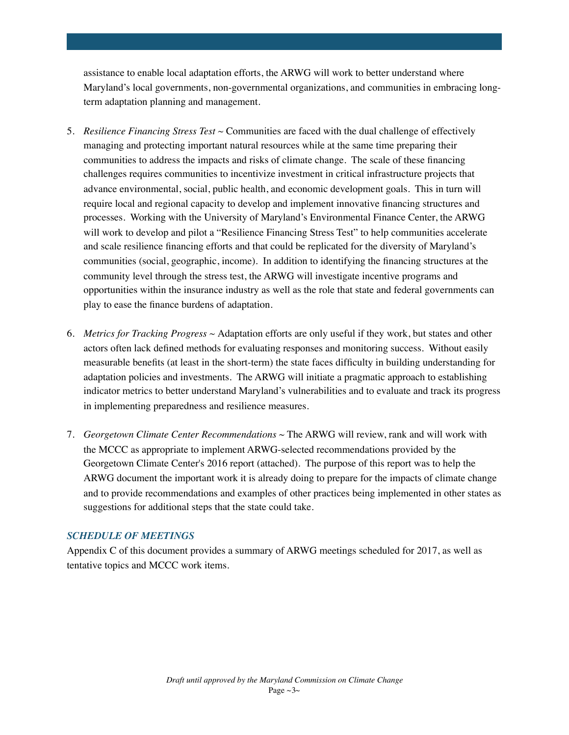assistance to enable local adaptation efforts, the ARWG will work to better understand where Maryland's local governments, non-governmental organizations, and communities in embracing longterm adaptation planning and management.

- 5. *Resilience Financing Stress Test ~* Communities are faced with the dual challenge of effectively managing and protecting important natural resources while at the same time preparing their communities to address the impacts and risks of climate change. The scale of these financing challenges requires communities to incentivize investment in critical infrastructure projects that advance environmental, social, public health, and economic development goals. This in turn will require local and regional capacity to develop and implement innovative financing structures and processes. Working with the University of Maryland's Environmental Finance Center, the ARWG will work to develop and pilot a "Resilience Financing Stress Test" to help communities accelerate and scale resilience financing efforts and that could be replicated for the diversity of Maryland's communities (social, geographic, income). In addition to identifying the financing structures at the community level through the stress test, the ARWG will investigate incentive programs and opportunities within the insurance industry as well as the role that state and federal governments can play to ease the finance burdens of adaptation.
- 6. *Metrics for Tracking Progress ~* Adaptation efforts are only useful if they work, but states and other actors often lack defined methods for evaluating responses and monitoring success. Without easily measurable benefits (at least in the short-term) the state faces difficulty in building understanding for adaptation policies and investments. The ARWG will initiate a pragmatic approach to establishing indicator metrics to better understand Maryland's vulnerabilities and to evaluate and track its progress in implementing preparedness and resilience measures.
- 7. *Georgetown Climate Center Recommendations* ~ The ARWG will review, rank and will work with the MCCC as appropriate to implement ARWG-selected recommendations provided by the Georgetown Climate Center's 2016 report (attached). The purpose of this report was to help the ARWG document the important work it is already doing to prepare for the impacts of climate change and to provide recommendations and examples of other practices being implemented in other states as suggestions for additional steps that the state could take.

## *SCHEDULE OF MEETINGS*

Appendix C of this document provides a summary of ARWG meetings scheduled for 2017, as well as tentative topics and MCCC work items.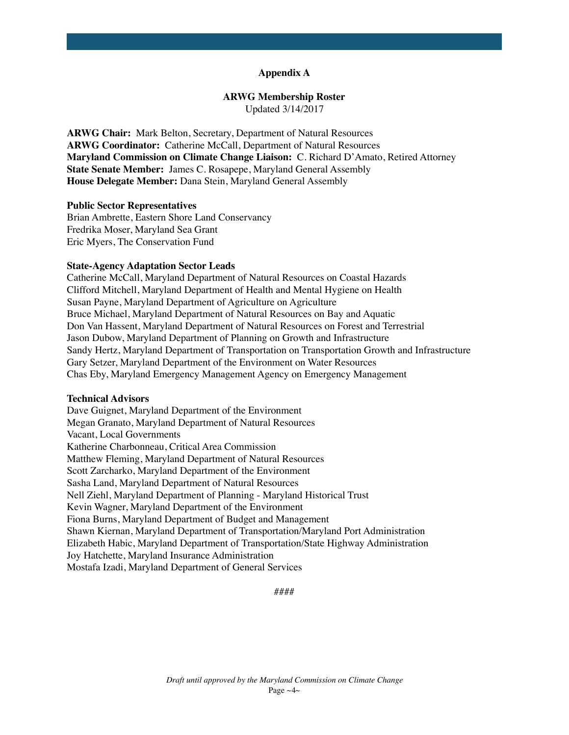### **Appendix A**

#### **ARWG Membership Roster**

Updated 3/14/2017

**ARWG Chair:** Mark Belton, Secretary, Department of Natural Resources **ARWG Coordinator:** Catherine McCall, Department of Natural Resources **Maryland Commission on Climate Change Liaison:** C. Richard D'Amato, Retired Attorney **State Senate Member:** James C. Rosapepe, Maryland General Assembly **House Delegate Member:** Dana Stein, Maryland General Assembly

#### **Public Sector Representatives**

Brian Ambrette, Eastern Shore Land Conservancy Fredrika Moser, Maryland Sea Grant Eric Myers, The Conservation Fund

#### **State-Agency Adaptation Sector Leads**

Catherine McCall, Maryland Department of Natural Resources on Coastal Hazards Clifford Mitchell, Maryland Department of Health and Mental Hygiene on Health Susan Payne, Maryland Department of Agriculture on Agriculture Bruce Michael, Maryland Department of Natural Resources on Bay and Aquatic Don Van Hassent, Maryland Department of Natural Resources on Forest and Terrestrial Jason Dubow, Maryland Department of Planning on Growth and Infrastructure Sandy Hertz, Maryland Department of Transportation on Transportation Growth and Infrastructure Gary Setzer, Maryland Department of the Environment on Water Resources Chas Eby, Maryland Emergency Management Agency on Emergency Management

## **Technical Advisors**

Dave Guignet, Maryland Department of the Environment Megan Granato, Maryland Department of Natural Resources Vacant, Local Governments Katherine Charbonneau, Critical Area Commission Matthew Fleming, Maryland Department of Natural Resources Scott Zarcharko, Maryland Department of the Environment Sasha Land, Maryland Department of Natural Resources Nell Ziehl, Maryland Department of Planning - Maryland Historical Trust Kevin Wagner, Maryland Department of the Environment Fiona Burns, Maryland Department of Budget and Management Shawn Kiernan, Maryland Department of Transportation/Maryland Port Administration Elizabeth Habic, Maryland Department of Transportation/State Highway Administration Joy Hatchette, Maryland Insurance Administration Mostafa Izadi, Maryland Department of General Services

####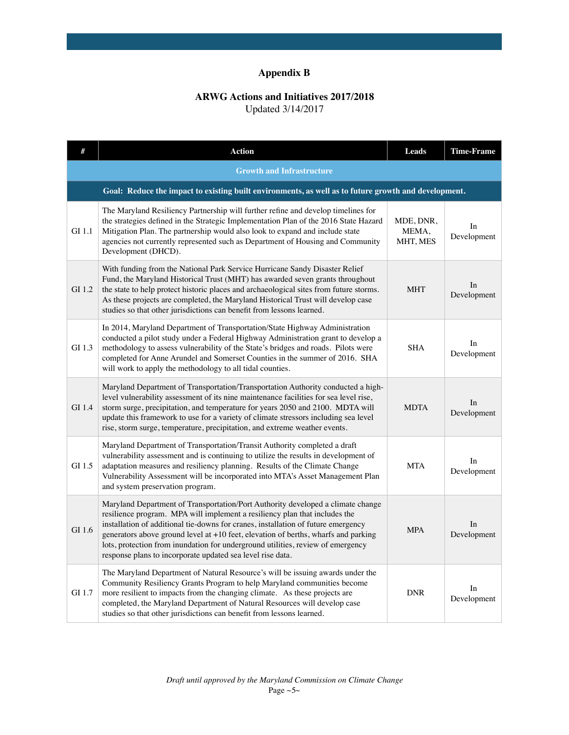# **Appendix B**

## **ARWG Actions and Initiatives 2017/2018**

Updated 3/14/2017

| #                                | <b>Action</b>                                                                                                                                                                                                                                                                                                                                                                                                                                                                               | Leads                          | <b>Time-Frame</b> |  |
|----------------------------------|---------------------------------------------------------------------------------------------------------------------------------------------------------------------------------------------------------------------------------------------------------------------------------------------------------------------------------------------------------------------------------------------------------------------------------------------------------------------------------------------|--------------------------------|-------------------|--|
| <b>Growth and Infrastructure</b> |                                                                                                                                                                                                                                                                                                                                                                                                                                                                                             |                                |                   |  |
|                                  | Goal: Reduce the impact to existing built environments, as well as to future growth and development.                                                                                                                                                                                                                                                                                                                                                                                        |                                |                   |  |
| GI 1.1                           | The Maryland Resiliency Partnership will further refine and develop timelines for<br>the strategies defined in the Strategic Implementation Plan of the 2016 State Hazard<br>Mitigation Plan. The partnership would also look to expand and include state<br>agencies not currently represented such as Department of Housing and Community<br>Development (DHCD).                                                                                                                          | MDE, DNR,<br>MEMA.<br>MHT, MES | In<br>Development |  |
| GI 1.2                           | With funding from the National Park Service Hurricane Sandy Disaster Relief<br>Fund, the Maryland Historical Trust (MHT) has awarded seven grants throughout<br>the state to help protect historic places and archaeological sites from future storms.<br>As these projects are completed, the Maryland Historical Trust will develop case<br>studies so that other jurisdictions can benefit from lessons learned.                                                                         | <b>MHT</b>                     | In<br>Development |  |
| GI 1.3                           | In 2014, Maryland Department of Transportation/State Highway Administration<br>conducted a pilot study under a Federal Highway Administration grant to develop a<br>methodology to assess vulnerability of the State's bridges and roads. Pilots were<br>completed for Anne Arundel and Somerset Counties in the summer of 2016. SHA<br>will work to apply the methodology to all tidal counties.                                                                                           | <b>SHA</b>                     | In<br>Development |  |
| GI 1.4                           | Maryland Department of Transportation/Transportation Authority conducted a high-<br>level vulnerability assessment of its nine maintenance facilities for sea level rise,<br>storm surge, precipitation, and temperature for years 2050 and 2100. MDTA will<br>update this framework to use for a variety of climate stressors including sea level<br>rise, storm surge, temperature, precipitation, and extreme weather events.                                                            | <b>MDTA</b>                    | In<br>Development |  |
| GI 1.5                           | Maryland Department of Transportation/Transit Authority completed a draft<br>vulnerability assessment and is continuing to utilize the results in development of<br>adaptation measures and resiliency planning. Results of the Climate Change<br>Vulnerability Assessment will be incorporated into MTA's Asset Management Plan<br>and system preservation program.                                                                                                                        | <b>MTA</b>                     | In<br>Development |  |
| GI 1.6                           | Maryland Department of Transportation/Port Authority developed a climate change<br>resilience program. MPA will implement a resiliency plan that includes the<br>installation of additional tie-downs for cranes, installation of future emergency<br>generators above ground level at $+10$ feet, elevation of berths, wharfs and parking<br>lots, protection from inundation for underground utilities, review of emergency<br>response plans to incorporate updated sea level rise data. | <b>MPA</b>                     | In<br>Development |  |
| GI 1.7                           | The Maryland Department of Natural Resource's will be issuing awards under the<br>Community Resiliency Grants Program to help Maryland communities become<br>more resilient to impacts from the changing climate. As these projects are<br>completed, the Maryland Department of Natural Resources will develop case<br>studies so that other jurisdictions can benefit from lessons learned.                                                                                               | <b>DNR</b>                     | In<br>Development |  |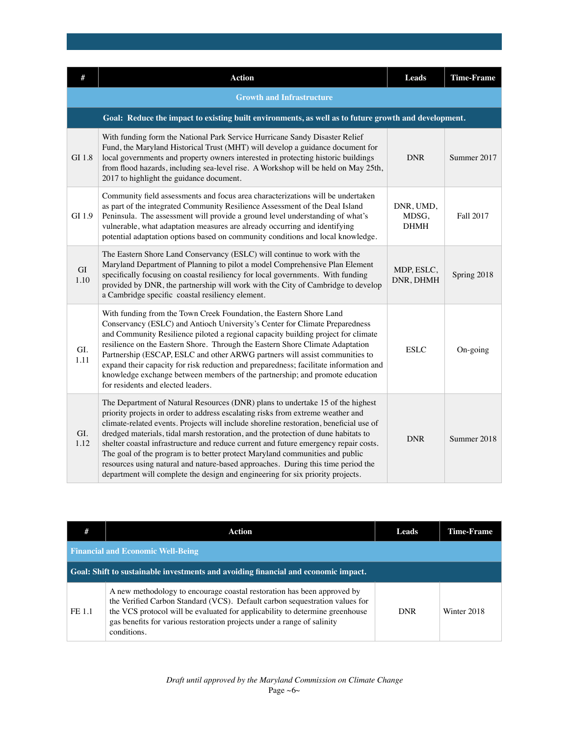|             | <b>Action</b>                                                                                                                                                                                                                                                                                                                                                                                                                                                                                                                                                                                                                                                                                   | Leads                             | <b>Time-Frame</b> |
|-------------|-------------------------------------------------------------------------------------------------------------------------------------------------------------------------------------------------------------------------------------------------------------------------------------------------------------------------------------------------------------------------------------------------------------------------------------------------------------------------------------------------------------------------------------------------------------------------------------------------------------------------------------------------------------------------------------------------|-----------------------------------|-------------------|
|             | <b>Growth and Infrastructure</b>                                                                                                                                                                                                                                                                                                                                                                                                                                                                                                                                                                                                                                                                |                                   |                   |
|             | Goal: Reduce the impact to existing built environments, as well as to future growth and development.                                                                                                                                                                                                                                                                                                                                                                                                                                                                                                                                                                                            |                                   |                   |
| GI 1.8      | With funding form the National Park Service Hurricane Sandy Disaster Relief<br>Fund, the Maryland Historical Trust (MHT) will develop a guidance document for<br>local governments and property owners interested in protecting historic buildings<br>from flood hazards, including sea-level rise. A Workshop will be held on May 25th,<br>2017 to highlight the guidance document.                                                                                                                                                                                                                                                                                                            | <b>DNR</b>                        | Summer 2017       |
| GI 1.9      | Community field assessments and focus area characterizations will be undertaken<br>as part of the integrated Community Resilience Assessment of the Deal Island<br>Peninsula. The assessment will provide a ground level understanding of what's<br>vulnerable, what adaptation measures are already occurring and identifying<br>potential adaptation options based on community conditions and local knowledge.                                                                                                                                                                                                                                                                               | DNR, UMD,<br>MDSG,<br><b>DHMH</b> | <b>Fall 2017</b>  |
| GI<br>1.10  | The Eastern Shore Land Conservancy (ESLC) will continue to work with the<br>Maryland Department of Planning to pilot a model Comprehensive Plan Element<br>specifically focusing on coastal resiliency for local governments. With funding<br>provided by DNR, the partnership will work with the City of Cambridge to develop<br>a Cambridge specific coastal resiliency element.                                                                                                                                                                                                                                                                                                              | MDP, ESLC,<br>DNR, DHMH           | Spring 2018       |
| GI.<br>1.11 | With funding from the Town Creek Foundation, the Eastern Shore Land<br>Conservancy (ESLC) and Antioch University's Center for Climate Preparedness<br>and Community Resilience piloted a regional capacity building project for climate<br>resilience on the Eastern Shore. Through the Eastern Shore Climate Adaptation<br>Partnership (ESCAP, ESLC and other ARWG partners will assist communities to<br>expand their capacity for risk reduction and preparedness; facilitate information and<br>knowledge exchange between members of the partnership; and promote education<br>for residents and elected leaders.                                                                          | <b>ESLC</b>                       | On-going          |
| GI.<br>1.12 | The Department of Natural Resources (DNR) plans to undertake 15 of the highest<br>priority projects in order to address escalating risks from extreme weather and<br>climate-related events. Projects will include shoreline restoration, beneficial use of<br>dredged materials, tidal marsh restoration, and the protection of dune habitats to<br>shelter coastal infrastructure and reduce current and future emergency repair costs.<br>The goal of the program is to better protect Maryland communities and public<br>resources using natural and nature-based approaches. During this time period the<br>department will complete the design and engineering for six priority projects. | <b>DNR</b>                        | Summer 2018       |

| #      | Action                                                                                                                                                                                                                                                                                                                           | Leads      | <b>Time-Frame</b> |  |  |
|--------|----------------------------------------------------------------------------------------------------------------------------------------------------------------------------------------------------------------------------------------------------------------------------------------------------------------------------------|------------|-------------------|--|--|
|        | <b>Financial and Economic Well-Being</b>                                                                                                                                                                                                                                                                                         |            |                   |  |  |
|        | Goal: Shift to sustainable investments and avoiding financial and economic impact.                                                                                                                                                                                                                                               |            |                   |  |  |
| FE 1.1 | A new methodology to encourage coastal restoration has been approved by<br>the Verified Carbon Standard (VCS). Default carbon sequestration values for<br>the VCS protocol will be evaluated for applicability to determine greenhouse<br>gas benefits for various restoration projects under a range of salinity<br>conditions. | <b>DNR</b> | Winter 2018       |  |  |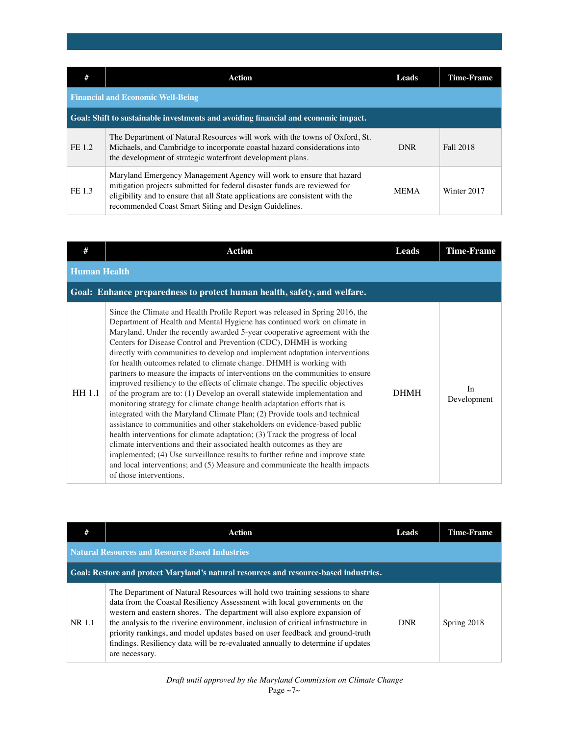| #      | Action                                                                                                                                                                                                                                                                                      | Leads       | <b>Time-Frame</b> |  |
|--------|---------------------------------------------------------------------------------------------------------------------------------------------------------------------------------------------------------------------------------------------------------------------------------------------|-------------|-------------------|--|
|        | <b>Financial and Economic Well-Being</b>                                                                                                                                                                                                                                                    |             |                   |  |
|        | Goal: Shift to sustainable investments and avoiding financial and economic impact.                                                                                                                                                                                                          |             |                   |  |
| FE 1.2 | The Department of Natural Resources will work with the towns of Oxford, St.<br>Michaels, and Cambridge to incorporate coastal hazard considerations into<br>the development of strategic waterfront development plans.                                                                      | <b>DNR</b>  | Fall 2018         |  |
| FE 1.3 | Maryland Emergency Management Agency will work to ensure that hazard<br>mitigation projects submitted for federal disaster funds are reviewed for<br>eligibility and to ensure that all State applications are consistent with the<br>recommended Coast Smart Siting and Design Guidelines. | <b>MEMA</b> | Winter 2017       |  |

| #                   | <b>Action</b>                                                                                                                                                                                                                                                                                                                                                                                                                                                                                                                                                                                                                                                                                                                                                                                                                                                                                                                                                                                                                                                                                                                                                                                                                                                                                                 | <b>Leads</b> | <b>Time-Frame</b> |
|---------------------|---------------------------------------------------------------------------------------------------------------------------------------------------------------------------------------------------------------------------------------------------------------------------------------------------------------------------------------------------------------------------------------------------------------------------------------------------------------------------------------------------------------------------------------------------------------------------------------------------------------------------------------------------------------------------------------------------------------------------------------------------------------------------------------------------------------------------------------------------------------------------------------------------------------------------------------------------------------------------------------------------------------------------------------------------------------------------------------------------------------------------------------------------------------------------------------------------------------------------------------------------------------------------------------------------------------|--------------|-------------------|
| <b>Human Health</b> |                                                                                                                                                                                                                                                                                                                                                                                                                                                                                                                                                                                                                                                                                                                                                                                                                                                                                                                                                                                                                                                                                                                                                                                                                                                                                                               |              |                   |
|                     | Goal: Enhance preparedness to protect human health, safety, and welfare.                                                                                                                                                                                                                                                                                                                                                                                                                                                                                                                                                                                                                                                                                                                                                                                                                                                                                                                                                                                                                                                                                                                                                                                                                                      |              |                   |
| HH 1.1              | Since the Climate and Health Profile Report was released in Spring 2016, the<br>Department of Health and Mental Hygiene has continued work on climate in<br>Maryland. Under the recently awarded 5-year cooperative agreement with the<br>Centers for Disease Control and Prevention (CDC), DHMH is working<br>directly with communities to develop and implement adaptation interventions<br>for health outcomes related to climate change. DHMH is working with<br>partners to measure the impacts of interventions on the communities to ensure<br>improved resiliency to the effects of climate change. The specific objectives<br>of the program are to: (1) Develop an overall statewide implementation and<br>monitoring strategy for climate change health adaptation efforts that is<br>integrated with the Maryland Climate Plan; (2) Provide tools and technical<br>assistance to communities and other stakeholders on evidence-based public<br>health interventions for climate adaptation; (3) Track the progress of local<br>climate interventions and their associated health outcomes as they are<br>implemented; (4) Use surveillance results to further refine and improve state<br>and local interventions; and (5) Measure and communicate the health impacts<br>of those interventions. | <b>DHMH</b>  | In<br>Development |

| #                                                                                     | Action                                                                                                                                                                                                                                                                                                                                                                                                                                                                                                           | Leads      | <b>Time-Frame</b> |
|---------------------------------------------------------------------------------------|------------------------------------------------------------------------------------------------------------------------------------------------------------------------------------------------------------------------------------------------------------------------------------------------------------------------------------------------------------------------------------------------------------------------------------------------------------------------------------------------------------------|------------|-------------------|
|                                                                                       | <b>Natural Resources and Resource Based Industries</b>                                                                                                                                                                                                                                                                                                                                                                                                                                                           |            |                   |
| Goal: Restore and protect Maryland's natural resources and resource-based industries. |                                                                                                                                                                                                                                                                                                                                                                                                                                                                                                                  |            |                   |
| NR 1.1                                                                                | The Department of Natural Resources will hold two training sessions to share<br>data from the Coastal Resiliency Assessment with local governments on the<br>western and eastern shores. The department will also explore expansion of<br>the analysis to the riverine environment, inclusion of critical infrastructure in<br>priority rankings, and model updates based on user feedback and ground-truth<br>findings. Resiliency data will be re-evaluated annually to determine if updates<br>are necessary. | <b>DNR</b> | Spring 2018       |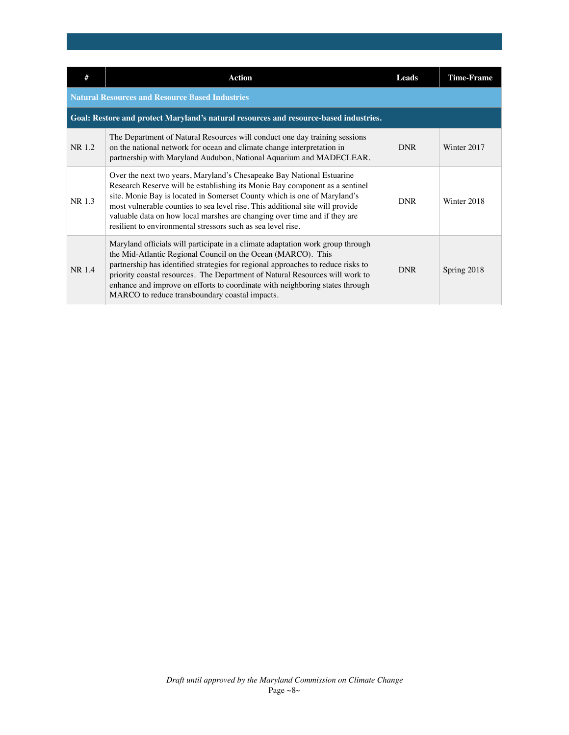| #      | <b>Action</b>                                                                                                                                                                                                                                                                                                                                                                                                                                                  | Leads      | <b>Time-Frame</b> |
|--------|----------------------------------------------------------------------------------------------------------------------------------------------------------------------------------------------------------------------------------------------------------------------------------------------------------------------------------------------------------------------------------------------------------------------------------------------------------------|------------|-------------------|
|        | <b>Natural Resources and Resource Based Industries</b>                                                                                                                                                                                                                                                                                                                                                                                                         |            |                   |
|        | Goal: Restore and protect Maryland's natural resources and resource-based industries.                                                                                                                                                                                                                                                                                                                                                                          |            |                   |
| NR 1.2 | The Department of Natural Resources will conduct one day training sessions<br>on the national network for ocean and climate change interpretation in<br>partnership with Maryland Audubon, National Aquarium and MADECLEAR.                                                                                                                                                                                                                                    | <b>DNR</b> | Winter 2017       |
| NR 1.3 | Over the next two years, Maryland's Chesapeake Bay National Estuarine<br>Research Reserve will be establishing its Monie Bay component as a sentinel<br>site. Monie Bay is located in Somerset County which is one of Maryland's<br>most vulnerable counties to sea level rise. This additional site will provide<br>valuable data on how local marshes are changing over time and if they are<br>resilient to environmental stressors such as sea level rise. | <b>DNR</b> | Winter 2018       |
| NR 1.4 | Maryland officials will participate in a climate adaptation work group through<br>the Mid-Atlantic Regional Council on the Ocean (MARCO). This<br>partnership has identified strategies for regional approaches to reduce risks to<br>priority coastal resources. The Department of Natural Resources will work to<br>enhance and improve on efforts to coordinate with neighboring states through<br>MARCO to reduce transboundary coastal impacts.           | <b>DNR</b> | Spring 2018       |